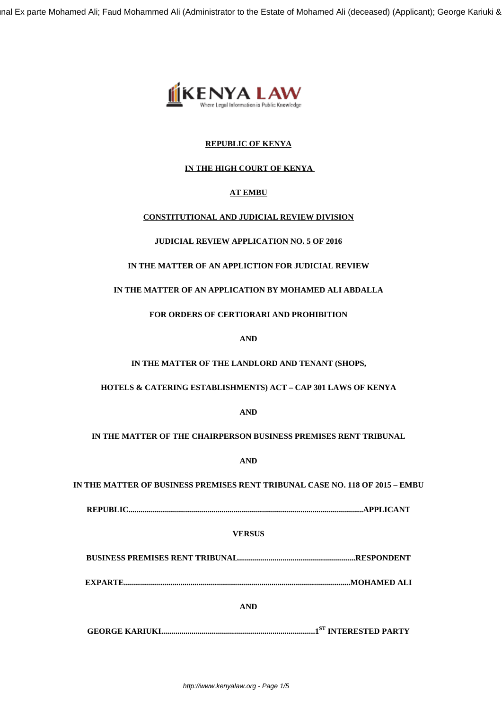Inal Ex parte Mohamed Ali; Faud Mohammed Ali (Administrator to the Estate of Mohamed Ali (deceased) (Applicant); George Kariuki &



# **REPUBLIC OF KENYA**

# **IN THE HIGH COURT OF KENYA**

# **AT EMBU**

## **CONSTITUTIONAL AND JUDICIAL REVIEW DIVISION**

## **JUDICIAL REVIEW APPLICATION NO. 5 OF 2016**

# **IN THE MATTER OF AN APPLICTION FOR JUDICIAL REVIEW**

## **IN THE MATTER OF AN APPLICATION BY MOHAMED ALI ABDALLA**

## **FOR ORDERS OF CERTIORARI AND PROHIBITION**

**AND**

## **IN THE MATTER OF THE LANDLORD AND TENANT (SHOPS,**

#### **HOTELS & CATERING ESTABLISHMENTS) ACT – CAP 301 LAWS OF KENYA**

**AND**

## **IN THE MATTER OF THE CHAIRPERSON BUSINESS PREMISES RENT TRIBUNAL**

**AND**

**IN THE MATTER OF BUSINESS PREMISES RENT TRIBUNAL CASE NO. 118 OF 2015 – EMBU**

**REPUBLIC....................................................................................................................APPLICANT**

## **VERSUS**

**BUSINESS PREMISES RENT TRIBUNAL..........................................................RESPONDENT**

**EXPARTE................................................................................................................MOHAMED ALI**

**AND**

**GEORGE KARIUKI............................................................................1ST INTERESTED PARTY**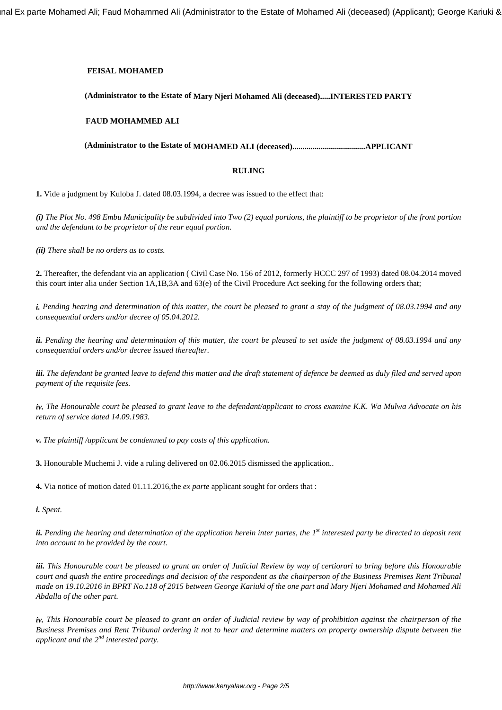nal Ex parte Mohamed Ali; Faud Mohammed Ali (Administrator to the Estate of Mohamed Ali (deceased) (Applicant); George Kariuki &

#### **FEISAL MOHAMED**

## **(Administrator to the Estate of Mary Njeri Mohamed Ali (deceased).....INTERESTED PARTY**

#### **FAUD MOHAMMED ALI**

#### **(Administrator to the Estate of MOHAMED ALI (deceased)....................................APPLICANT**

#### **RULING**

**1.** Vide a judgment by Kuloba J. dated 08.03.1994, a decree was issued to the effect that:

*(i) The Plot No. 498 Embu Municipality be subdivided into Two (2) equal portions, the plaintiff to be proprietor of the front portion and the defendant to be proprietor of the rear equal portion.*

*(ii) There shall be no orders as to costs.*

**2.** Thereafter, the defendant via an application ( Civil Case No. 156 of 2012, formerly HCCC 297 of 1993) dated 08.04.2014 moved this court inter alia under Section 1A,1B,3A and 63(e) of the Civil Procedure Act seeking for the following orders that;

*i. Pending hearing and determination of this matter, the court be pleased to grant a stay of the judgment of 08.03.1994 and any consequential orders and/or decree of 05.04.2012.*

*ii. Pending the hearing and determination of this matter, the court be pleased to set aside the judgment of 08.03.1994 and any consequential orders and/or decree issued thereafter.*

*iii. The defendant be granted leave to defend this matter and the draft statement of defence be deemed as duly filed and served upon payment of the requisite fees.*

*iv. The Honourable court be pleased to grant leave to the defendant/applicant to cross examine K.K. Wa Mulwa Advocate on his return of service dated 14.09.1983.*

*v. The plaintiff /applicant be condemned to pay costs of this application.*

**3.** Honourable Muchemi J. vide a ruling delivered on 02.06.2015 dismissed the application..

**4.** Via notice of motion dated 01.11.2016,the *ex parte* applicant sought for orders that :

*i. Spent.*

*ii. Pending the hearing and determination of the application herein inter partes, the 1st interested party be directed to deposit rent into account to be provided by the court.*

*iii. This Honourable court be pleased to grant an order of Judicial Review by way of certiorari to bring before this Honourable court and quash the entire proceedings and decision of the respondent as the chairperson of the Business Premises Rent Tribunal made on 19.10.2016 in BPRT No.118 of 2015 between George Kariuki of the one part and Mary Njeri Mohamed and Mohamed Ali Abdalla of the other part.*

*iv. This Honourable court be pleased to grant an order of Judicial review by way of prohibition against the chairperson of the Business Premises and Rent Tribunal ordering it not to hear and determine matters on property ownership dispute between the applicant and the 2nd interested party.*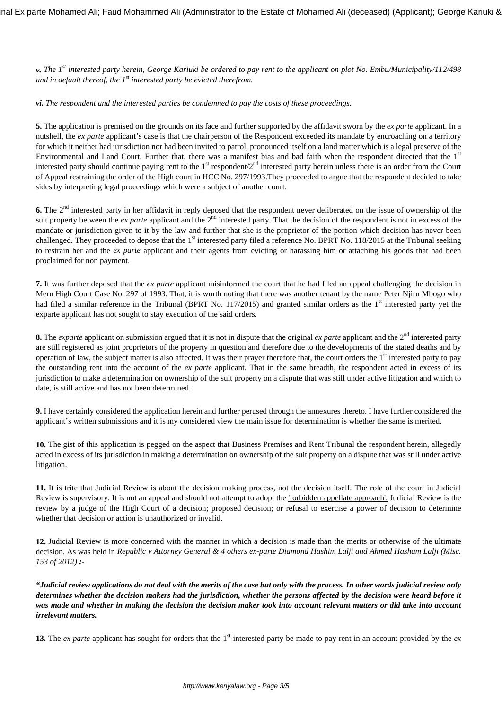*v. The 1st interested party herein, George Kariuki be ordered to pay rent to the applicant on plot No. Embu/Municipality/112/498 and in default thereof, the 1st interested party be evicted therefrom.*

*vi. The respondent and the interested parties be condemned to pay the costs of these proceedings.*

**5.** The application is premised on the grounds on its face and further supported by the affidavit sworn by the *ex parte* applicant. In a nutshell, the *ex parte* applicant's case is that the chairperson of the Respondent exceeded its mandate by encroaching on a territory for which it neither had jurisdiction nor had been invited to patrol, pronounced itself on a land matter which is a legal preserve of the Environmental and Land Court. Further that, there was a manifest bias and bad faith when the respondent directed that the  $1<sup>st</sup>$ interested party should continue paying rent to the 1<sup>st</sup> respondent/2<sup>nd</sup> interested party herein unless there is an order from the Court of Appeal restraining the order of the High court in HCC No. 297/1993.They proceeded to argue that the respondent decided to take sides by interpreting legal proceedings which were a subject of another court.

**6.** The 2<sup>nd</sup> interested party in her affidavit in reply deposed that the respondent never deliberated on the issue of ownership of the suit property between the *ex parte* applicant and the 2<sup>nd</sup> interested party. That the decision of the respondent is not in excess of the mandate or jurisdiction given to it by the law and further that she is the proprietor of the portion which decision has never been challenged. They proceeded to depose that the 1<sup>st</sup> interested party filed a reference No. BPRT No. 118/2015 at the Tribunal seeking to restrain her and the *ex parte* applicant and their agents from evicting or harassing him or attaching his goods that had been proclaimed for non payment.

**7.** It was further deposed that the *ex parte* applicant misinformed the court that he had filed an appeal challenging the decision in Meru High Court Case No. 297 of 1993. That, it is worth noting that there was another tenant by the name Peter Njiru Mbogo who had filed a similar reference in the Tribunal (BPRT No. 117/2015) and granted similar orders as the 1<sup>st</sup> interested party yet the exparte applicant has not sought to stay execution of the said orders.

**8.** The *exparte* applicant on submission argued that it is not in dispute that the original *ex parte* applicant and the 2<sup>nd</sup> interested party are still registered as joint proprietors of the property in question and therefore due to the developments of the stated deaths and by operation of law, the subject matter is also affected. It was their prayer therefore that, the court orders the 1<sup>st</sup> interested party to pay the outstanding rent into the account of the *ex parte* applicant. That in the same breadth, the respondent acted in excess of its jurisdiction to make a determination on ownership of the suit property on a dispute that was still under active litigation and which to date, is still active and has not been determined.

**9.** I have certainly considered the application herein and further perused through the annexures thereto. I have further considered the applicant's written submissions and it is my considered view the main issue for determination is whether the same is merited.

**10.** The gist of this application is pegged on the aspect that Business Premises and Rent Tribunal the respondent herein, allegedly acted in excess of its jurisdiction in making a determination on ownership of the suit property on a dispute that was still under active litigation.

**11.** It is trite that Judicial Review is about the decision making process, not the decision itself. The role of the court in Judicial Review is supervisory. It is not an appeal and should not attempt to adopt the 'forbidden appellate approach'. Judicial Review is the review by a judge of the High Court of a decision; proposed decision; or refusal to exercise a power of decision to determine whether that decision or action is unauthorized or invalid.

**12.** Judicial Review is more concerned with the manner in which a decision is made than the merits or otherwise of the ultimate decision. As was held in *Republic v Attorney General & 4 others ex-parte Diamond Hashim Lalji and Ahmed Hasham Lalji (Misc. 153 of 2012) :-*

*"Judicial review applications do not deal with the merits of the case but only with the process. In other words judicial review only determines whether the decision makers had the jurisdiction, whether the persons affected by the decision were heard before it was made and whether in making the decision the decision maker took into account relevant matters or did take into account irrelevant matters.* 

**13.** The *ex parte* applicant has sought for orders that the 1<sup>st</sup> interested party be made to pay rent in an account provided by the *ex*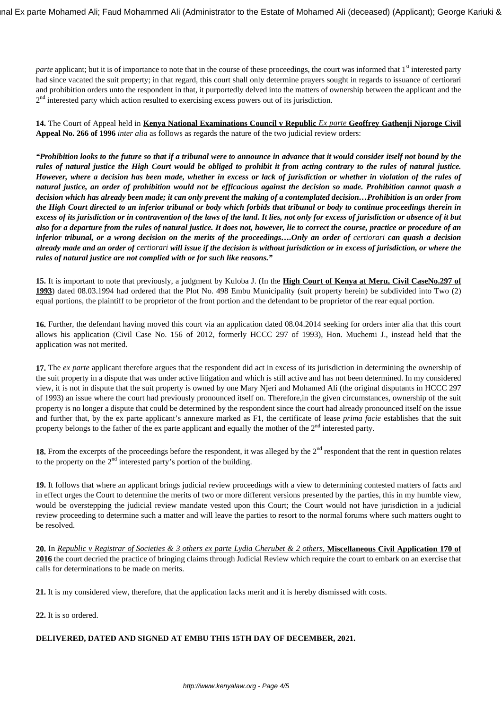*parte* applicant; but it is of importance to note that in the course of these proceedings, the court was informed that 1<sup>st</sup> interested party had since vacated the suit property; in that regard, this court shall only determine prayers sought in regards to issuance of certiorari and prohibition orders unto the respondent in that, it purportedly delved into the matters of ownership between the applicant and the 2<sup>nd</sup> interested party which action resulted to exercising excess powers out of its jurisdiction.

**14.** The Court of Appeal held in **Kenya National Examinations Council v Republic** *Ex parte* **Geoffrey Gathenji Njoroge Civil Appeal No. 266 of 1996** *inter alia* as follows as regards the nature of the two judicial review orders:

*"Prohibition looks to the future so that if a tribunal were to announce in advance that it would consider itself not bound by the rules of natural justice the High Court would be obliged to prohibit it from acting contrary to the rules of natural justice. However, where a decision has been made, whether in excess or lack of jurisdiction or whether in violation of the rules of natural justice, an order of prohibition would not be efficacious against the decision so made. Prohibition cannot quash a decision which has already been made; it can only prevent the making of a contemplated decision…Prohibition is an order from the High Court directed to an inferior tribunal or body which forbids that tribunal or body to continue proceedings therein in excess of its jurisdiction or in contravention of the laws of the land. It lies, not only for excess of jurisdiction or absence of it but also for a departure from the rules of natural justice. It does not, however, lie to correct the course, practice or procedure of an inferior tribunal, or a wrong decision on the merits of the proceedings....Only an order of certiorari can quash a decision already made and an order of certiorari will issue if the decision is without jurisdiction or in excess of jurisdiction, or where the rules of natural justice are not complied with or for such like reasons."*

**15.** It is important to note that previously, a judgment by Kuloba J. (In the **High Court of Kenya at Meru, Civil CaseNo.297 of 1993**) dated 08.03.1994 had ordered that the Plot No. 498 Embu Municipality (suit property herein) be subdivided into Two (2) equal portions, the plaintiff to be proprietor of the front portion and the defendant to be proprietor of the rear equal portion.

16. Further, the defendant having moved this court via an application dated 08.04.2014 seeking for orders inter alia that this court allows his application (Civil Case No. 156 of 2012, formerly HCCC 297 of 1993), Hon. Muchemi J., instead held that the application was not merited.

**17.** The *ex parte* applicant therefore argues that the respondent did act in excess of its jurisdiction in determining the ownership of the suit property in a dispute that was under active litigation and which is still active and has not been determined. In my considered view, it is not in dispute that the suit property is owned by one Mary Njeri and Mohamed Ali (the original disputants in HCCC 297 of 1993) an issue where the court had previously pronounced itself on. Therefore,in the given circumstances, ownership of the suit property is no longer a dispute that could be determined by the respondent since the court had already pronounced itself on the issue and further that, by the ex parte applicant's annexure marked as F1, the certificate of lease *prima facie* establishes that the suit property belongs to the father of the ex parte applicant and equally the mother of the 2<sup>nd</sup> interested party.

18. From the excerpts of the proceedings before the respondent, it was alleged by the 2<sup>nd</sup> respondent that the rent in question relates to the property on the  $2<sup>nd</sup>$  interested party's portion of the building.

**19.** It follows that where an applicant brings judicial review proceedings with a view to determining contested matters of facts and in effect urges the Court to determine the merits of two or more different versions presented by the parties, this in my humble view, would be overstepping the judicial review mandate vested upon this Court; the Court would not have jurisdiction in a judicial review proceeding to determine such a matter and will leave the parties to resort to the normal forums where such matters ought to be resolved.

**20.** In *Republic v Registrar of Societies & 3 others ex parte Lydia Cherubet & 2 others*, **Miscellaneous Civil Application 170 of 2016** the court decried the practice of bringing claims through Judicial Review which require the court to embark on an exercise that calls for determinations to be made on merits.

**21.** It is my considered view, therefore, that the application lacks merit and it is hereby dismissed with costs.

**22.** It is so ordered.

## **DELIVERED, DATED AND SIGNED AT EMBU THIS 15TH DAY OF DECEMBER, 2021.**